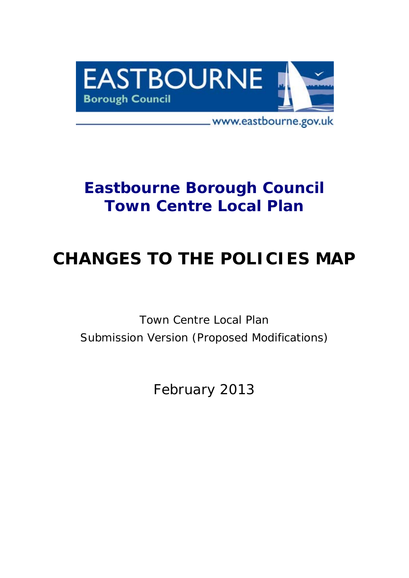

# **Eastbourne Borough Council Town Centre Local Plan**

# **CHANGES TO THE POLICIES MAP**

*Town Centre Local Plan Submission Version (Proposed Modifications)*

February 2013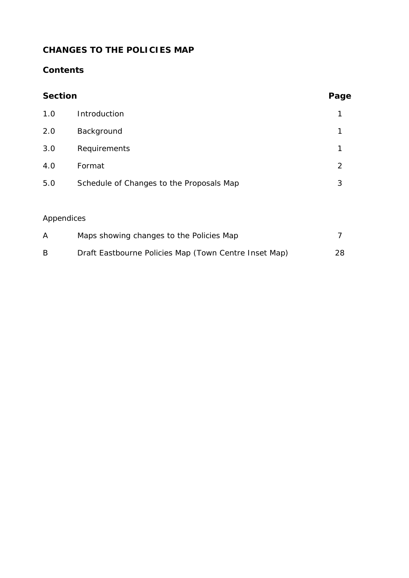# **CHANGES TO THE POLICIES MAP**

## **Contents**

| <b>Section</b> |                                                       | Page |
|----------------|-------------------------------------------------------|------|
| 1.0            | Introduction                                          | 1    |
| 2.0            | Background                                            | 1    |
| 3.0            | Requirements                                          | 1    |
| 4.0            | Format                                                | 2    |
| 5.0            | Schedule of Changes to the Proposals Map              | 3    |
|                |                                                       |      |
| Appendices     |                                                       |      |
| A              | Maps showing changes to the Policies Map              | 7    |
| B              | Draft Eastbourne Policies Map (Town Centre Inset Map) | 28   |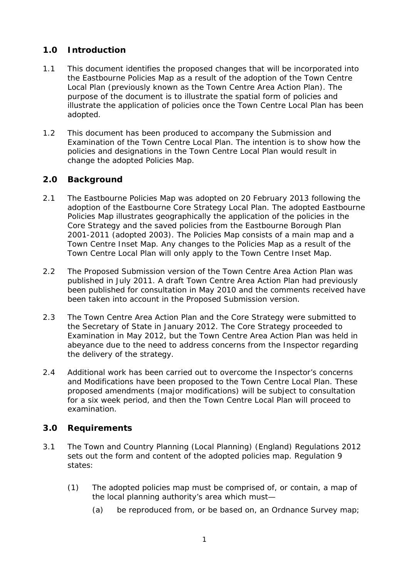### **1.0 Introduction**

- 1.1 This document identifies the proposed changes that will be incorporated into the Eastbourne Policies Map as a result of the adoption of the Town Centre Local Plan (previously known as the Town Centre Area Action Plan). The purpose of the document is to illustrate the spatial form of policies and illustrate the application of policies once the Town Centre Local Plan has been adopted.
- 1.2 This document has been produced to accompany the Submission and Examination of the Town Centre Local Plan. The intention is to show how the policies and designations in the Town Centre Local Plan would result in change the adopted Policies Map.

#### **2.0 Background**

- 2.1 The Eastbourne Policies Map was adopted on 20 February 2013 following the adoption of the Eastbourne Core Strategy Local Plan. The adopted Eastbourne Policies Map illustrates geographically the application of the policies in the Core Strategy and the saved policies from the Eastbourne Borough Plan 2001-2011 (adopted 2003). The Policies Map consists of a main map and a Town Centre Inset Map. Any changes to the Policies Map as a result of the Town Centre Local Plan will only apply to the Town Centre Inset Map.
- 2.2 The Proposed Submission version of the Town Centre Area Action Plan was published in July 2011. A draft Town Centre Area Action Plan had previously been published for consultation in May 2010 and the comments received have been taken into account in the Proposed Submission version.
- 2.3 The Town Centre Area Action Plan and the Core Strategy were submitted to the Secretary of State in January 2012. The Core Strategy proceeded to Examination in May 2012, but the Town Centre Area Action Plan was held in abeyance due to the need to address concerns from the Inspector regarding the delivery of the strategy.
- 2.4 Additional work has been carried out to overcome the Inspector's concerns and Modifications have been proposed to the Town Centre Local Plan. These proposed amendments (major modifications) will be subject to consultation for a six week period, and then the Town Centre Local Plan will proceed to examination.

#### **3.0 Requirements**

- 3.1 The Town and Country Planning (Local Planning) (England) Regulations 2012 sets out the form and content of the adopted policies map. Regulation 9 states:
	- *(1) The adopted policies map must be comprised of, or contain, a map of the local planning authority's area which must—* 
		- *(a) be reproduced from, or be based on, an Ordnance Survey map;*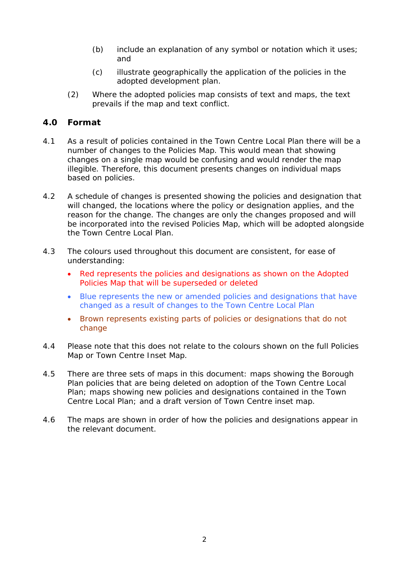- *(b) include an explanation of any symbol or notation which it uses; and*
- *(c) illustrate geographically the application of the policies in the adopted development plan.*
- *(2) Where the adopted policies map consists of text and maps, the text prevails if the map and text conflict.*

#### **4.0 Format**

- 4.1 As a result of policies contained in the Town Centre Local Plan there will be a number of changes to the Policies Map. This would mean that showing changes on a single map would be confusing and would render the map illegible. Therefore, this document presents changes on individual maps based on policies.
- 4.2 A schedule of changes is presented showing the policies and designation that will changed, the locations where the policy or designation applies, and the reason for the change. The changes are only the changes proposed and will be incorporated into the revised Policies Map, which will be adopted alongside the Town Centre Local Plan.
- 4.3 The colours used throughout this document are consistent, for ease of understanding:
	- Red represents the policies and designations as shown on the Adopted Policies Map that will be superseded or deleted
	- Blue represents the new or amended policies and designations that have changed as a result of changes to the Town Centre Local Plan
	- Brown represents existing parts of policies or designations that do not change
- 4.4 Please note that this does not relate to the colours shown on the full Policies Map or Town Centre Inset Map.
- 4.5 There are three sets of maps in this document: maps showing the Borough Plan policies that are being deleted on adoption of the Town Centre Local Plan; maps showing new policies and designations contained in the Town Centre Local Plan; and a draft version of Town Centre inset map.
- 4.6 The maps are shown in order of how the policies and designations appear in the relevant document.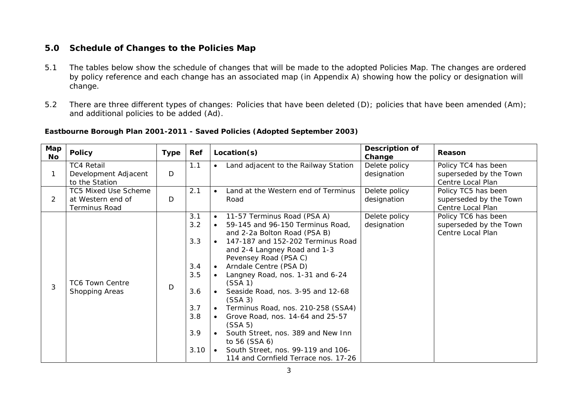#### **5.0 Schedule of Changes to the Policies Map**

- 5.1 The tables below show the schedule of changes that will be made to the adopted Policies Map. The changes are ordered by policy reference and each change has an associated map (in Appendix A) showing how the policy or designation will change.
- 5.2 There are three different types of changes: Policies that have been deleted (D); policies that have been amended (Am); and additional policies to be added (Ad).

| Map<br><b>No</b> | <b>Policy</b>                                                     | <b>Type</b> | Ref                                                                 | Location(s)                                                                                                                                                                                                                                                                                                                                                                                                                                                                                                                                                                                                                                              | Description of<br>Change     | Reason                                                             |
|------------------|-------------------------------------------------------------------|-------------|---------------------------------------------------------------------|----------------------------------------------------------------------------------------------------------------------------------------------------------------------------------------------------------------------------------------------------------------------------------------------------------------------------------------------------------------------------------------------------------------------------------------------------------------------------------------------------------------------------------------------------------------------------------------------------------------------------------------------------------|------------------------------|--------------------------------------------------------------------|
| $\mathbf{1}$     | <b>TC4 Retail</b><br>Development Adjacent<br>to the Station       | D           | 1.1                                                                 | Land adjacent to the Railway Station<br>$\bullet$                                                                                                                                                                                                                                                                                                                                                                                                                                                                                                                                                                                                        | Delete policy<br>designation | Policy TC4 has been<br>superseded by the Town<br>Centre Local Plan |
| 2                | TC5 Mixed Use Scheme<br>at Western end of<br><b>Terminus Road</b> | D           | 2.1                                                                 | Land at the Western end of Terminus<br>$\bullet$<br>Road                                                                                                                                                                                                                                                                                                                                                                                                                                                                                                                                                                                                 | Delete policy<br>designation | Policy TC5 has been<br>superseded by the Town<br>Centre Local Plan |
| 3                | <b>TC6 Town Centre</b><br>Shopping Areas                          | D           | 3.1<br>3.2<br>3.3<br>3.4<br>3.5<br>3.6<br>3.7<br>3.8<br>3.9<br>3.10 | 11-57 Terminus Road (PSA A)<br>$\bullet$<br>59-145 and 96-150 Terminus Road,<br>$\bullet$<br>and 2-2a Bolton Road (PSA B)<br>147-187 and 152-202 Terminus Road<br>$\bullet$<br>and 2-4 Langney Road and 1-3<br>Pevensey Road (PSA C)<br>Arndale Centre (PSA D)<br>$\bullet$<br>Langney Road, nos. 1-31 and 6-24<br>(SSA 1)<br>Seaside Road, nos. 3-95 and 12-68<br>(SSA 3)<br>Terminus Road, nos. 210-258 (SSA4)<br>$\bullet$<br>Grove Road, nos. 14-64 and 25-57<br>$\bullet$<br>(SSA 5)<br>South Street, nos. 389 and New Inn<br>$\bullet$<br>to 56 (SSA 6)<br>South Street, nos. 99-119 and 106-<br>$\bullet$<br>114 and Cornfield Terrace nos. 17-26 | Delete policy<br>designation | Policy TC6 has been<br>superseded by the Town<br>Centre Local Plan |

#### **Eastbourne Borough Plan 2001-2011 - Saved Policies (Adopted September 2003)**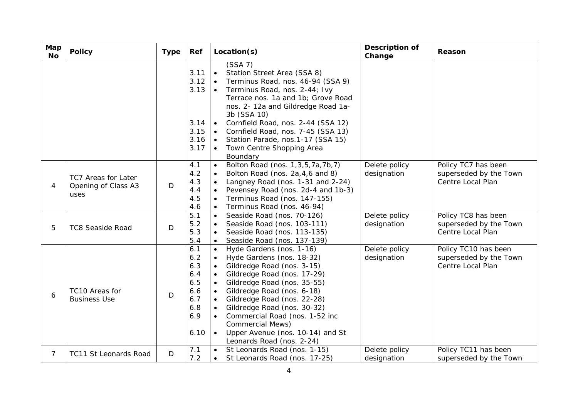| Map<br><b>No</b> | <b>Policy</b>                                             | <b>Type</b> | Ref                                                                 | Location(s)                                                                                                                                                                                                                                                                                                                                                                                                                                                                                      | Description of<br>Change     | Reason                                                              |
|------------------|-----------------------------------------------------------|-------------|---------------------------------------------------------------------|--------------------------------------------------------------------------------------------------------------------------------------------------------------------------------------------------------------------------------------------------------------------------------------------------------------------------------------------------------------------------------------------------------------------------------------------------------------------------------------------------|------------------------------|---------------------------------------------------------------------|
|                  |                                                           |             | 3.11<br>3.12<br>3.13<br>3.14<br>3.15<br>3.16<br>3.17                | (SSA 7)<br>Station Street Area (SSA 8)<br>$\bullet$<br>Terminus Road, nos. 46-94 (SSA 9)<br>$\bullet$<br>Terminus Road, nos. 2-44; Ivy<br>$\bullet$<br>Terrace nos. 1a and 1b; Grove Road<br>nos. 2-12a and Gildredge Road 1a-<br>3b (SSA 10)<br>Cornfield Road, nos. 2-44 (SSA 12)<br>$\bullet$<br>Cornfield Road, nos. 7-45 (SSA 13)<br>$\bullet$<br>Station Parade, nos.1-17 (SSA 15)<br>$\bullet$<br>Town Centre Shopping Area<br>Boundary                                                   |                              |                                                                     |
| 4                | <b>TC7 Areas for Later</b><br>Opening of Class A3<br>uses | D           | 4.1<br>4.2<br>4.3<br>4.4<br>4.5<br>4.6                              | Bolton Road (nos. 1,3,5,7a,7b,7)<br>$\bullet$<br>Bolton Road (nos. 2a, 4, 6 and 8)<br>$\bullet$<br>Langney Road (nos. 1-31 and 2-24)<br>$\bullet$<br>Pevensey Road (nos. 2d-4 and 1b-3)<br>$\bullet$<br>Terminus Road (nos. 147-155)<br>$\bullet$<br>Terminus Road (nos. 46-94)<br>$\bullet$                                                                                                                                                                                                     | Delete policy<br>designation | Policy TC7 has been<br>superseded by the Town<br>Centre Local Plan  |
| 5                | <b>TC8 Seaside Road</b>                                   | D           | 5.1<br>5.2<br>5.3<br>5.4                                            | Seaside Road (nos. 70-126)<br>$\bullet$<br>Seaside Road (nos. 103-111)<br>$\bullet$<br>Seaside Road (nos. 113-135)<br>$\bullet$<br>Seaside Road (nos. 137-139)<br>$\bullet$                                                                                                                                                                                                                                                                                                                      | Delete policy<br>designation | Policy TC8 has been<br>superseded by the Town<br>Centre Local Plan  |
| 6                | TC10 Areas for<br><b>Business Use</b>                     | D           | 6.1<br>6.2<br>6.3<br>6.4<br>6.5<br>6.6<br>6.7<br>6.8<br>6.9<br>6.10 | Hyde Gardens (nos. 1-16)<br>$\bullet$<br>Hyde Gardens (nos. 18-32)<br>$\bullet$<br>Gildredge Road (nos. 3-15)<br>$\bullet$<br>Gildredge Road (nos. 17-29)<br>$\bullet$<br>Gildredge Road (nos. 35-55)<br>$\bullet$<br>Gildredge Road (nos. 6-18)<br>$\bullet$<br>Gildredge Road (nos. 22-28)<br>$\bullet$<br>Gildredge Road (nos. 30-32)<br>$\bullet$<br>Commercial Road (nos. 1-52 inc<br><b>Commercial Mews)</b><br>$\bullet$<br>Upper Avenue (nos. 10-14) and St<br>Leonards Road (nos. 2-24) | Delete policy<br>designation | Policy TC10 has been<br>superseded by the Town<br>Centre Local Plan |
| $\overline{7}$   | TC11 St Leonards Road                                     | D           | 7.1<br>7.2                                                          | St Leonards Road (nos. 1-15)<br>$\bullet$<br>St Leonards Road (nos. 17-25)<br>$\bullet$                                                                                                                                                                                                                                                                                                                                                                                                          | Delete policy<br>designation | Policy TC11 has been<br>superseded by the Town                      |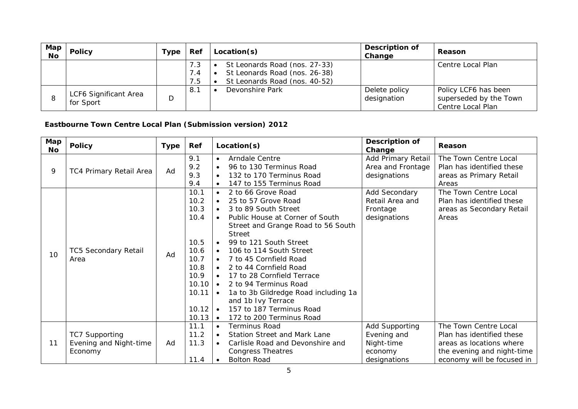| Map<br><b>No</b> | <b>Policy</b>                      | Туре | Ref               | Location(s)                                                                                     | Description of<br>Change     | <b>Reason</b>                                                       |
|------------------|------------------------------------|------|-------------------|-------------------------------------------------------------------------------------------------|------------------------------|---------------------------------------------------------------------|
|                  |                                    |      | 7.3<br>7.4<br>7.5 | St Leonards Road (nos. 27-33)<br>St Leonards Road (nos. 26-38)<br>St Leonards Road (nos. 40-52) |                              | Centre Local Plan                                                   |
|                  | LCF6 Significant Area<br>for Sport | D    | 8.1               | Devonshire Park                                                                                 | Delete policy<br>designation | Policy LCF6 has been<br>superseded by the Town<br>Centre Local Plan |

#### **Eastbourne Town Centre Local Plan (Submission version) 2012**

| Map<br>No | <b>Policy</b>                                              | <b>Type</b> | Ref                                                                                                              | Location(s)                                                                                                                                                                                                                                                                                                                                                                                                                                                                                                                                                                                      | Description of<br>Change                                               | Reason                                                                                                                                     |
|-----------|------------------------------------------------------------|-------------|------------------------------------------------------------------------------------------------------------------|--------------------------------------------------------------------------------------------------------------------------------------------------------------------------------------------------------------------------------------------------------------------------------------------------------------------------------------------------------------------------------------------------------------------------------------------------------------------------------------------------------------------------------------------------------------------------------------------------|------------------------------------------------------------------------|--------------------------------------------------------------------------------------------------------------------------------------------|
| 9         | TC4 Primary Retail Area                                    | Ad          | 9.1<br>9.2<br>9.3<br>9.4                                                                                         | Arndale Centre<br>$\bullet$<br>96 to 130 Terminus Road<br>$\bullet$<br>132 to 170 Terminus Road<br>$\bullet$<br>147 to 155 Terminus Road<br>$\bullet$                                                                                                                                                                                                                                                                                                                                                                                                                                            | Add Primary Retail<br>Area and Frontage<br>designations                | The Town Centre Local<br>Plan has identified these<br>areas as Primary Retail<br>Areas                                                     |
| 10        | <b>TC5 Secondary Retail</b><br>Area                        | Ad          | 10.1<br>10.2<br>10.3<br>10.4<br>10.5<br>10.6<br>10.7<br>10.8<br>10.9<br>$10.10 \cdot$<br>10.11<br>10.12<br>10.13 | 2 to 66 Grove Road<br>$\bullet$<br>25 to 57 Grove Road<br>$\bullet$<br>3 to 89 South Street<br>$\bullet$<br>Public House at Corner of South<br>Street and Grange Road to 56 South<br><b>Street</b><br>99 to 121 South Street<br>$\bullet$<br>106 to 114 South Street<br>$\bullet$<br>7 to 45 Cornfield Road<br>$\bullet$<br>2 to 44 Cornfield Road<br>$\bullet$<br>17 to 28 Cornfield Terrace<br>$\bullet$<br>2 to 94 Terminus Road<br>1a to 3b Gildredge Road including 1a<br>$\bullet$<br>and 1b Ivy Terrace<br>157 to 187 Terminus Road<br>$\bullet$<br>172 to 200 Terminus Road<br>$\bullet$ | Add Secondary<br>Retail Area and<br>Frontage<br>designations           | The Town Centre Local<br>Plan has identified these<br>areas as Secondary Retail<br>Areas                                                   |
| 11        | <b>TC7 Supporting</b><br>Evening and Night-time<br>Economy | Ad          | 11.1<br>11.2<br>11.3<br>11.4                                                                                     | <b>Terminus Road</b><br>$\bullet$<br><b>Station Street and Mark Lane</b><br>$\bullet$<br>Carlisle Road and Devonshire and<br><b>Congress Theatres</b><br><b>Bolton Road</b>                                                                                                                                                                                                                                                                                                                                                                                                                      | Add Supporting<br>Evening and<br>Night-time<br>economy<br>designations | The Town Centre Local<br>Plan has identified these<br>areas as locations where<br>the evening and night-time<br>economy will be focused in |